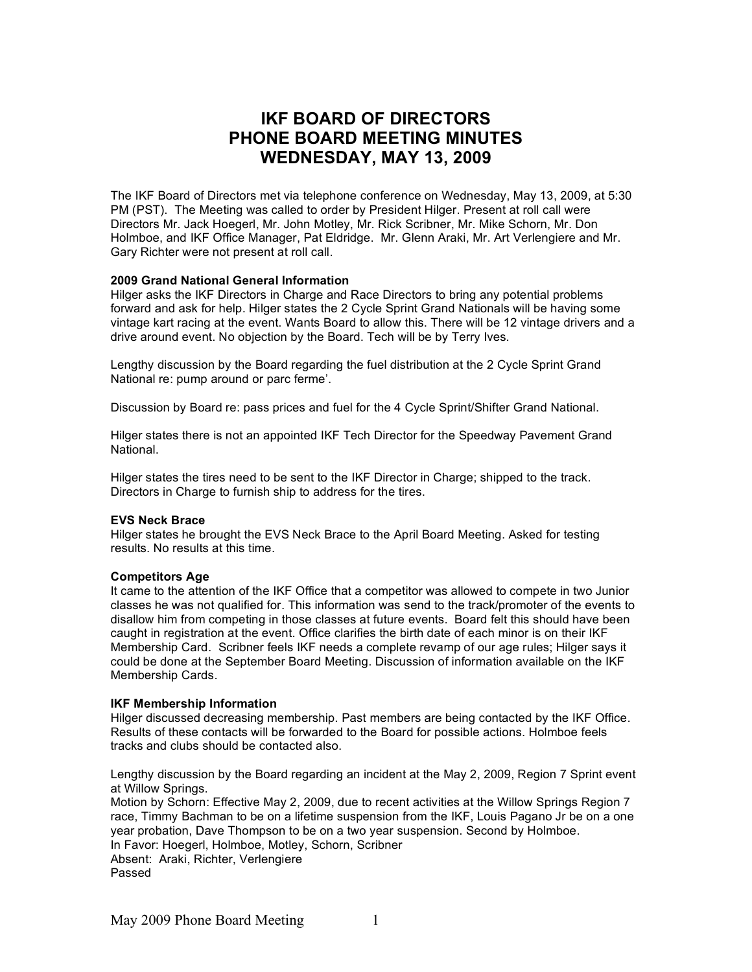# **IKF BOARD OF DIRECTORS PHONE BOARD MEETING MINUTES WEDNESDAY, MAY 13, 2009**

The IKF Board of Directors met via telephone conference on Wednesday, May 13, 2009, at 5:30 PM (PST). The Meeting was called to order by President Hilger. Present at roll call were Directors Mr. Jack Hoegerl, Mr. John Motley, Mr. Rick Scribner, Mr. Mike Schorn, Mr. Don Holmboe, and IKF Office Manager, Pat Eldridge. Mr. Glenn Araki, Mr. Art Verlengiere and Mr. Gary Richter were not present at roll call.

# **2009 Grand National General Information**

Hilger asks the IKF Directors in Charge and Race Directors to bring any potential problems forward and ask for help. Hilger states the 2 Cycle Sprint Grand Nationals will be having some vintage kart racing at the event. Wants Board to allow this. There will be 12 vintage drivers and a drive around event. No objection by the Board. Tech will be by Terry Ives.

Lengthy discussion by the Board regarding the fuel distribution at the 2 Cycle Sprint Grand National re: pump around or parc ferme'.

Discussion by Board re: pass prices and fuel for the 4 Cycle Sprint/Shifter Grand National.

Hilger states there is not an appointed IKF Tech Director for the Speedway Pavement Grand National.

Hilger states the tires need to be sent to the IKF Director in Charge; shipped to the track. Directors in Charge to furnish ship to address for the tires.

# **EVS Neck Brace**

Hilger states he brought the EVS Neck Brace to the April Board Meeting. Asked for testing results. No results at this time.

#### **Competitors Age**

It came to the attention of the IKF Office that a competitor was allowed to compete in two Junior classes he was not qualified for. This information was send to the track/promoter of the events to disallow him from competing in those classes at future events. Board felt this should have been caught in registration at the event. Office clarifies the birth date of each minor is on their IKF Membership Card. Scribner feels IKF needs a complete revamp of our age rules; Hilger says it could be done at the September Board Meeting. Discussion of information available on the IKF Membership Cards.

#### **IKF Membership Information**

Hilger discussed decreasing membership. Past members are being contacted by the IKF Office. Results of these contacts will be forwarded to the Board for possible actions. Holmboe feels tracks and clubs should be contacted also.

Lengthy discussion by the Board regarding an incident at the May 2, 2009, Region 7 Sprint event at Willow Springs.

Motion by Schorn: Effective May 2, 2009, due to recent activities at the Willow Springs Region 7 race, Timmy Bachman to be on a lifetime suspension from the IKF, Louis Pagano Jr be on a one year probation, Dave Thompson to be on a two year suspension. Second by Holmboe. In Favor: Hoegerl, Holmboe, Motley, Schorn, Scribner

Absent: Araki, Richter, Verlengiere Passed